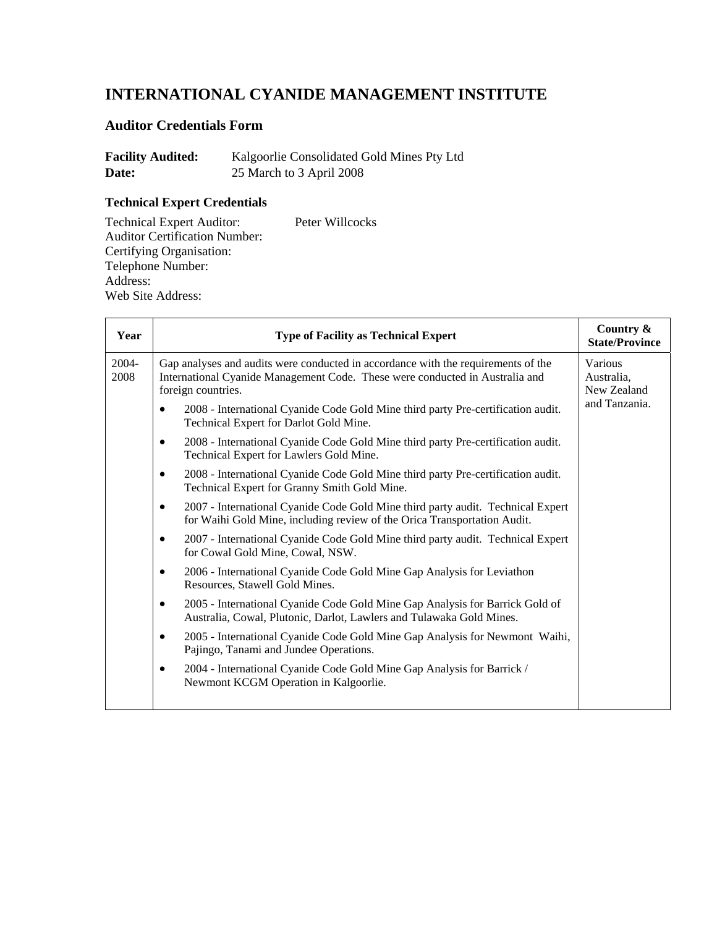# **INTERNATIONAL CYANIDE MANAGEMENT INSTITUTE**

## **Auditor Credentials Form**

| <b>Facility Audited:</b> | Kalgoorlie Consolidated Gold Mines Pty Ltd |
|--------------------------|--------------------------------------------|
| Date:                    | 25 March to 3 April 2008                   |

## **Technical Expert Credentials**

Technical Expert Auditor: Peter Willcocks Auditor Certification Number: Certifying Organisation: Telephone Number: Address: Web Site Address:

| Year          | <b>Type of Facility as Technical Expert</b>                                                                                                                                                                                                                                                                                                                                                                                                                                                                                                                                                                                                                                                                                                                                                                                                                                                                                                                                                                                                                                                                                                                                                                                                                                                                                                                                                                                                                                                                 | Country &<br><b>State/Province</b>                    |
|---------------|-------------------------------------------------------------------------------------------------------------------------------------------------------------------------------------------------------------------------------------------------------------------------------------------------------------------------------------------------------------------------------------------------------------------------------------------------------------------------------------------------------------------------------------------------------------------------------------------------------------------------------------------------------------------------------------------------------------------------------------------------------------------------------------------------------------------------------------------------------------------------------------------------------------------------------------------------------------------------------------------------------------------------------------------------------------------------------------------------------------------------------------------------------------------------------------------------------------------------------------------------------------------------------------------------------------------------------------------------------------------------------------------------------------------------------------------------------------------------------------------------------------|-------------------------------------------------------|
| 2004-<br>2008 | Gap analyses and audits were conducted in accordance with the requirements of the<br>International Cyanide Management Code. These were conducted in Australia and<br>foreign countries.<br>2008 - International Cyanide Code Gold Mine third party Pre-certification audit.<br>$\bullet$<br>Technical Expert for Darlot Gold Mine.<br>2008 - International Cyanide Code Gold Mine third party Pre-certification audit.<br>$\bullet$<br>Technical Expert for Lawlers Gold Mine.<br>2008 - International Cyanide Code Gold Mine third party Pre-certification audit.<br>$\bullet$<br>Technical Expert for Granny Smith Gold Mine.<br>2007 - International Cyanide Code Gold Mine third party audit. Technical Expert<br>$\bullet$<br>for Waihi Gold Mine, including review of the Orica Transportation Audit.<br>2007 - International Cyanide Code Gold Mine third party audit. Technical Expert<br>$\bullet$<br>for Cowal Gold Mine, Cowal, NSW.<br>2006 - International Cyanide Code Gold Mine Gap Analysis for Leviathon<br>$\bullet$<br>Resources, Stawell Gold Mines.<br>2005 - International Cyanide Code Gold Mine Gap Analysis for Barrick Gold of<br>$\bullet$<br>Australia, Cowal, Plutonic, Darlot, Lawlers and Tulawaka Gold Mines.<br>2005 - International Cyanide Code Gold Mine Gap Analysis for Newmont Waihi,<br>$\bullet$<br>Pajingo, Tanami and Jundee Operations.<br>2004 - International Cyanide Code Gold Mine Gap Analysis for Barrick /<br>٠<br>Newmont KCGM Operation in Kalgoorlie. | Various<br>Australia,<br>New Zealand<br>and Tanzania. |
|               |                                                                                                                                                                                                                                                                                                                                                                                                                                                                                                                                                                                                                                                                                                                                                                                                                                                                                                                                                                                                                                                                                                                                                                                                                                                                                                                                                                                                                                                                                                             |                                                       |